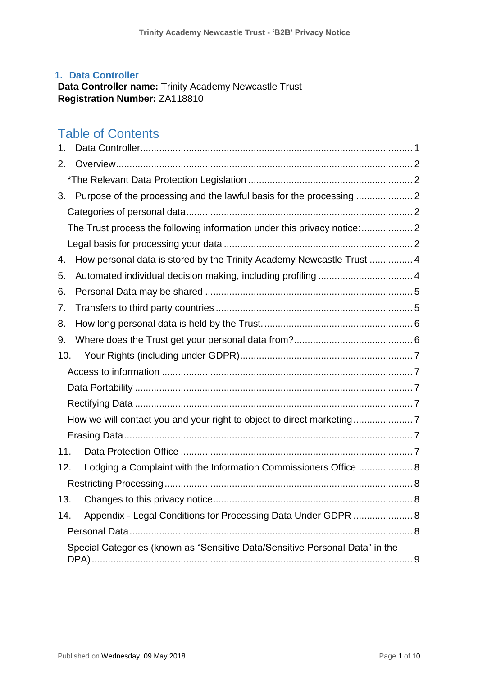## <span id="page-0-0"></span>**1. Data Controller**

**Data Controller name:** Trinity Academy Newcastle Trust **Registration Number:** ZA118810

# Table of Contents

| 1.                                                                           |                                                                          |  |
|------------------------------------------------------------------------------|--------------------------------------------------------------------------|--|
| 2.                                                                           |                                                                          |  |
|                                                                              |                                                                          |  |
| 3.                                                                           |                                                                          |  |
|                                                                              |                                                                          |  |
|                                                                              | The Trust process the following information under this privacy notice: 2 |  |
|                                                                              |                                                                          |  |
| 4.                                                                           | How personal data is stored by the Trinity Academy Newcastle Trust  4    |  |
| 5.                                                                           |                                                                          |  |
| 6.                                                                           |                                                                          |  |
| 7.                                                                           |                                                                          |  |
| 8.                                                                           |                                                                          |  |
| 9.                                                                           |                                                                          |  |
| 10.                                                                          |                                                                          |  |
|                                                                              |                                                                          |  |
|                                                                              |                                                                          |  |
|                                                                              |                                                                          |  |
|                                                                              |                                                                          |  |
|                                                                              |                                                                          |  |
| 11.                                                                          |                                                                          |  |
| 12.                                                                          | Lodging a Complaint with the Information Commissioners Office  8         |  |
|                                                                              |                                                                          |  |
| 13.                                                                          |                                                                          |  |
| 14.                                                                          | Appendix - Legal Conditions for Processing Data Under GDPR  8            |  |
|                                                                              |                                                                          |  |
| Special Categories (known as "Sensitive Data/Sensitive Personal Data" in the |                                                                          |  |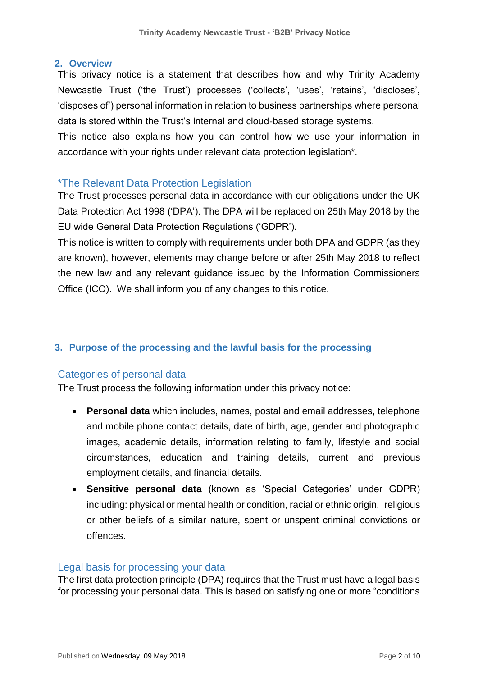#### <span id="page-1-0"></span>**2. Overview**

This privacy notice is a statement that describes how and why Trinity Academy Newcastle Trust ('the Trust') processes ('collects', 'uses', 'retains', 'discloses', 'disposes of') personal information in relation to business partnerships where personal data is stored within the Trust's internal and cloud-based storage systems.

This notice also explains how you can control how we use your information in accordance with your rights under relevant data protection legislation\*.

## <span id="page-1-1"></span>\*The Relevant Data Protection Legislation

The Trust processes personal data in accordance with our obligations under the UK Data Protection Act 1998 ('DPA'). The DPA will be replaced on 25th May 2018 by the EU wide General Data Protection Regulations ('GDPR').

This notice is written to comply with requirements under both DPA and GDPR (as they are known), however, elements may change before or after 25th May 2018 to reflect the new law and any relevant guidance issued by the Information Commissioners Office (ICO). We shall inform you of any changes to this notice.

## <span id="page-1-2"></span>**3. Purpose of the processing and the lawful basis for the processing**

## <span id="page-1-3"></span>Categories of personal data

<span id="page-1-4"></span>The Trust process the following information under this privacy notice:

- **Personal data** which includes, names, postal and email addresses, telephone and mobile phone contact details, date of birth, age, gender and photographic images, academic details, information relating to family, lifestyle and social circumstances, education and training details, current and previous employment details, and financial details.
- **Sensitive personal data** (known as 'Special Categories' under GDPR) including: physical or mental health or condition, racial or ethnic origin, religious or other beliefs of a similar nature, spent or unspent criminal convictions or offences.

#### <span id="page-1-5"></span>Legal basis for processing your data

The first data protection principle (DPA) requires that the Trust must have a legal basis for processing your personal data. This is based on satisfying one or more "conditions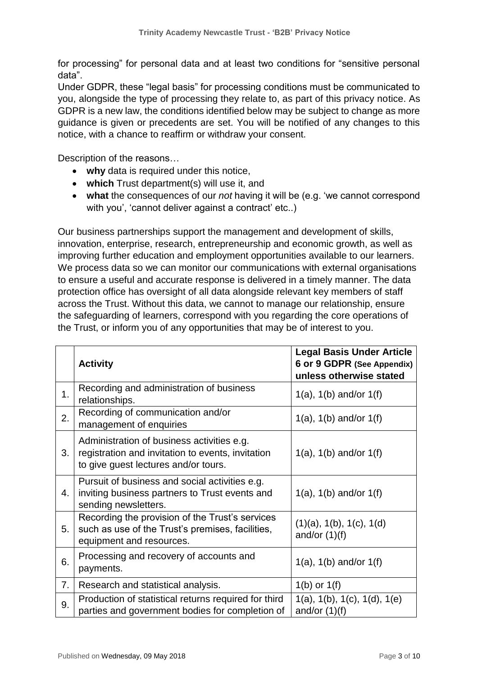for processing" for personal data and at least two conditions for "sensitive personal data".

Under GDPR, these "legal basis" for processing conditions must be communicated to you, alongside the type of processing they relate to, as part of this privacy notice. As GDPR is a new law, the conditions identified below may be subject to change as more guidance is given or precedents are set. You will be notified of any changes to this notice, with a chance to reaffirm or withdraw your consent.

Description of the reasons…

- **why** data is required under this notice,
- **which** Trust department(s) will use it, and
- **what** the consequences of our *not* having it will be (e.g. 'we cannot correspond with you', 'cannot deliver against a contract' etc..)

Our business partnerships support the management and development of skills, innovation, enterprise, research, entrepreneurship and economic growth, as well as improving further education and employment opportunities available to our learners. We process data so we can monitor our communications with external organisations to ensure a useful and accurate response is delivered in a timely manner. The data protection office has oversight of all data alongside relevant key members of staff across the Trust. Without this data, we cannot to manage our relationship, ensure the safeguarding of learners, correspond with you regarding the core operations of the Trust, or inform you of any opportunities that may be of interest to you.

|    | <b>Activity</b>                                                                                                                         | <b>Legal Basis Under Article</b><br>6 or 9 GDPR (See Appendix)<br>unless otherwise stated |
|----|-----------------------------------------------------------------------------------------------------------------------------------------|-------------------------------------------------------------------------------------------|
| 1. | Recording and administration of business<br>relationships.                                                                              | $1(a)$ , $1(b)$ and/or $1(f)$                                                             |
| 2. | Recording of communication and/or<br>management of enquiries                                                                            | 1(a), $1(b)$ and/or $1(f)$                                                                |
| 3. | Administration of business activities e.g.<br>registration and invitation to events, invitation<br>to give guest lectures and/or tours. | 1(a), $1(b)$ and/or $1(f)$                                                                |
| 4. | Pursuit of business and social activities e.g.<br>inviting business partners to Trust events and<br>sending newsletters.                | 1(a), $1(b)$ and/or $1(f)$                                                                |
| 5. | Recording the provision of the Trust's services<br>such as use of the Trust's premises, facilities,<br>equipment and resources.         | $(1)(a)$ , $1(b)$ , $1(c)$ , $1(d)$<br>and/or $(1)(f)$                                    |
| 6. | Processing and recovery of accounts and<br>payments.                                                                                    | 1(a), $1(b)$ and/or $1(f)$                                                                |
| 7. | Research and statistical analysis.                                                                                                      | $1(b)$ or $1(f)$                                                                          |
| 9. | Production of statistical returns required for third<br>parties and government bodies for completion of                                 | $1(a)$ , $1(b)$ , $1(c)$ , $1(d)$ , $1(e)$<br>and/or $(1)(f)$                             |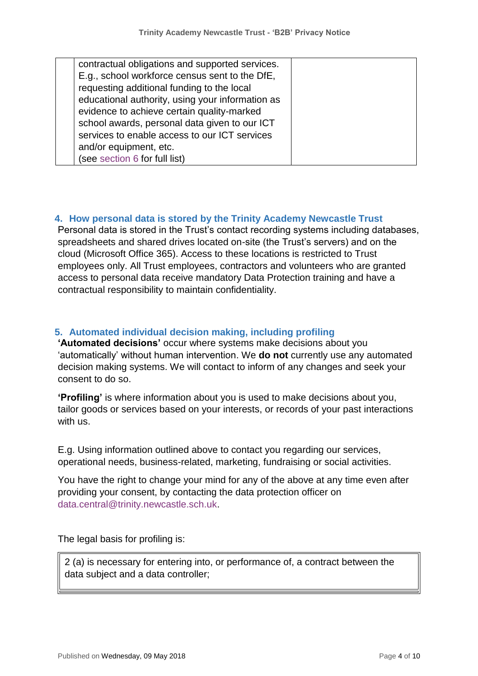| contractual obligations and supported services.  |  |
|--------------------------------------------------|--|
| E.g., school workforce census sent to the DfE,   |  |
| requesting additional funding to the local       |  |
| educational authority, using your information as |  |
| evidence to achieve certain quality-marked       |  |
| school awards, personal data given to our ICT    |  |
| services to enable access to our ICT services    |  |
| and/or equipment, etc.                           |  |
| (see section 6 for full list)                    |  |
|                                                  |  |

## <span id="page-3-0"></span>**4. How personal data is stored by the Trinity Academy Newcastle Trust**

Personal data is stored in the Trust's contact recording systems including databases, spreadsheets and shared drives located on-site (the Trust's servers) and on the cloud (Microsoft Office 365). Access to these locations is restricted to Trust employees only. All Trust employees, contractors and volunteers who are granted access to personal data receive mandatory Data Protection training and have a contractual responsibility to maintain confidentiality.

## <span id="page-3-1"></span>**5. Automated individual decision making, including profiling**

**'Automated decisions'** occur where systems make decisions about you 'automatically' without human intervention. We **do not** currently use any automated decision making systems. We will contact to inform of any changes and seek your consent to do so.

**'Profiling'** is where information about you is used to make decisions about you, tailor goods or services based on your interests, or records of your past interactions with us.

E.g. Using information outlined above to contact you regarding our services, operational needs, business-related, marketing, fundraising or social activities.

You have the right to change your mind for any of the above at any time even after providing your consent, by contacting the data protection officer on [data.central@trinity.newcastle.sch.uk.](mailto:data.central@trinity.newcastle.sch.uk)

The legal basis for profiling is:

2 (a) is necessary for entering into, or performance of, a contract between the data subject and a data controller;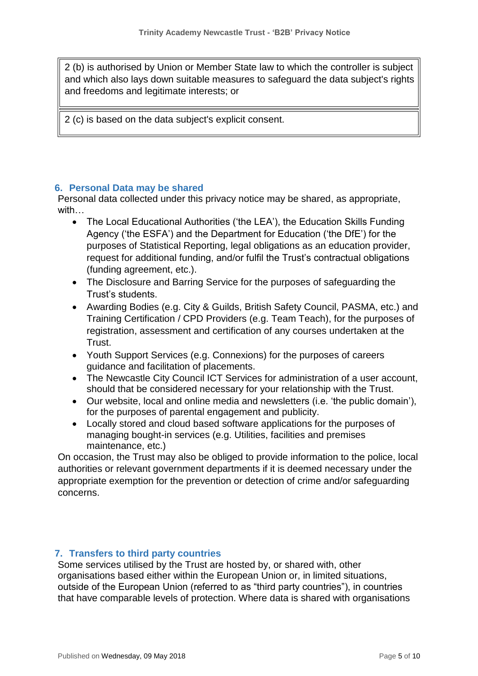2 (b) is authorised by Union or Member State law to which the controller is subject and which also lays down suitable measures to safeguard the data subject's rights and freedoms and legitimate interests; or

2 (c) is based on the data subject's explicit consent.

## <span id="page-4-0"></span>**6. Personal Data may be shared**

Personal data collected under this privacy notice may be shared, as appropriate, with…

- The Local Educational Authorities ('the LEA'), the Education Skills Funding Agency ('the ESFA') and the Department for Education ('the DfE') for the purposes of Statistical Reporting, legal obligations as an education provider, request for additional funding, and/or fulfil the Trust's contractual obligations (funding agreement, etc.).
- The Disclosure and Barring Service for the purposes of safeguarding the Trust's students.
- Awarding Bodies (e.g. City & Guilds, British Safety Council, PASMA, etc.) and Training Certification / CPD Providers (e.g. Team Teach), for the purposes of registration, assessment and certification of any courses undertaken at the Trust.
- Youth Support Services (e.g. Connexions) for the purposes of careers guidance and facilitation of placements.
- The Newcastle City Council ICT Services for administration of a user account, should that be considered necessary for your relationship with the Trust.
- Our website, local and online media and newsletters (i.e. 'the public domain'), for the purposes of parental engagement and publicity.
- Locally stored and cloud based software applications for the purposes of managing bought-in services (e.g. Utilities, facilities and premises maintenance, etc.)

On occasion, the Trust may also be obliged to provide information to the police, local authorities or relevant government departments if it is deemed necessary under the appropriate exemption for the prevention or detection of crime and/or safeguarding concerns.

## <span id="page-4-1"></span>**7. Transfers to third party countries**

Some services utilised by the Trust are hosted by, or shared with, other organisations based either within the European Union or, in limited situations, outside of the European Union (referred to as "third party countries"), in countries that have comparable levels of protection. Where data is shared with organisations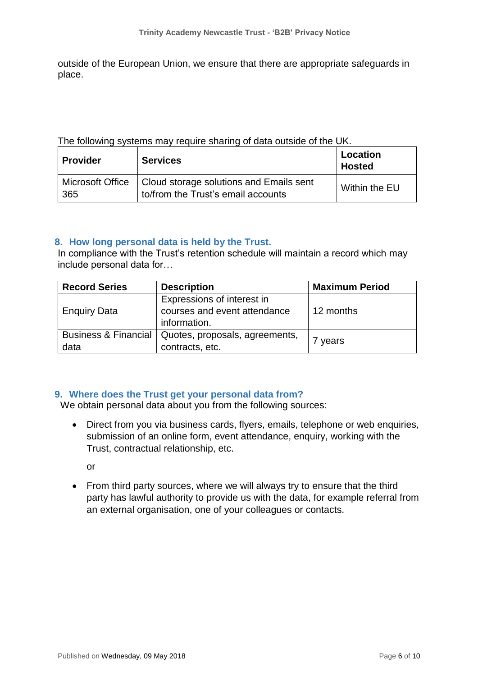outside of the European Union, we ensure that there are appropriate safeguards in place.

#### The following systems may require sharing of data outside of the UK.

| <b>Provider</b> | <b>Services</b>                                                                                  | Location<br><b>Hosted</b> |
|-----------------|--------------------------------------------------------------------------------------------------|---------------------------|
| 365             | Microsoft Office   Cloud storage solutions and Emails sent<br>to/from the Trust's email accounts | Within the EU             |

#### <span id="page-5-0"></span>**8. How long personal data is held by the Trust.**

In compliance with the Trust's retention schedule will maintain a record which may include personal data for…

| <b>Record Series</b>                    | <b>Description</b>                                                         | <b>Maximum Period</b> |
|-----------------------------------------|----------------------------------------------------------------------------|-----------------------|
| <b>Enquiry Data</b>                     | Expressions of interest in<br>courses and event attendance<br>information. | 12 months             |
| <b>Business &amp; Financial</b><br>data | Quotes, proposals, agreements,<br>contracts, etc.                          | years                 |

## <span id="page-5-1"></span>**9. Where does the Trust get your personal data from?**

We obtain personal data about you from the following sources:

 Direct from you via business cards, flyers, emails, telephone or web enquiries, submission of an online form, event attendance, enquiry, working with the Trust, contractual relationship, etc.

or

• From third party sources, where we will always try to ensure that the third party has lawful authority to provide us with the data, for example referral from an external organisation, one of your colleagues or contacts.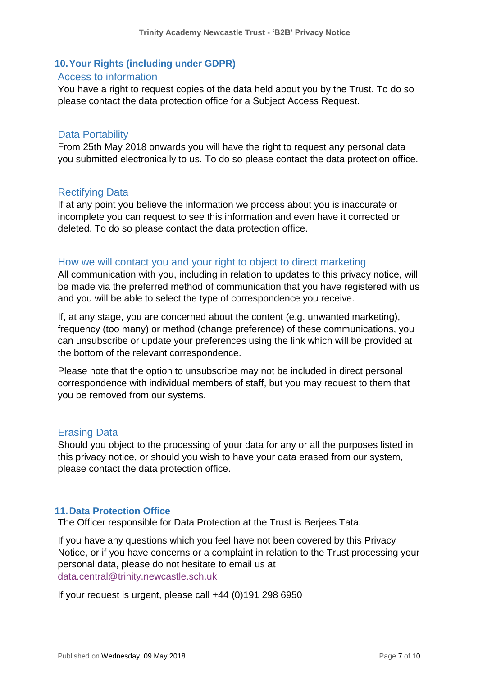## <span id="page-6-0"></span>**10.Your Rights (including under GDPR)**

#### <span id="page-6-1"></span>Access to information

You have a right to request copies of the data held about you by the Trust. To do so please contact [the](mailto:TBC@northumbria.ac.uk) data protection office for a Subject Access Request.

## <span id="page-6-2"></span>Data Portability

From 25th May 2018 onwards you will have the right to request any personal data you submitted electronically to us. To do so please contact [the](mailto:TBC@northumbria.ac.uk) data protection office.

## <span id="page-6-3"></span>Rectifying Data

If at any point you believe the information we process about you is inaccurate or incomplete you can request to see this information and even have it corrected or deleted. To do so please contact [the](mailto:TBC@northumbria.ac.uk) data protection office.

#### <span id="page-6-4"></span>How we will contact you and your right to object to direct marketing

All communication with you, including in relation to updates to this privacy notice, will be made via the preferred method of communication that you have registered with us and you will be able to select the type of correspondence you receive.

If, at any stage, you are concerned about the content (e.g. unwanted marketing), frequency (too many) or method (change preference) of these communications, you can unsubscribe or update your preferences using the link which will be provided at the bottom of the relevant correspondence.

Please note that the option to unsubscribe may not be included in direct personal correspondence with individual members of staff, but you may request to them that you be removed from our systems.

#### <span id="page-6-5"></span>Erasing Data

Should you object to the processing of your data for any or all the purposes listed in this privacy notice, or should you wish to have your data erased from our system, please contact [the](mailto:TBC@northumbria.ac.uk) data protection office.

#### <span id="page-6-6"></span>**11.Data Protection Office**

The Officer responsible for Data Protection at the Trust is Berjees Tata.

If you have any questions which you feel have not been covered by this Privacy Notice, or if you have concerns or a complaint in relation to the Trust processing your personal data, please do not hesitate to email us at [data.central@trinity.newcastle.sch.uk](mailto:data.central@trinity.newcastle.sch.uk)

If your request is urgent, please call  $+44$  (0)191 298 6950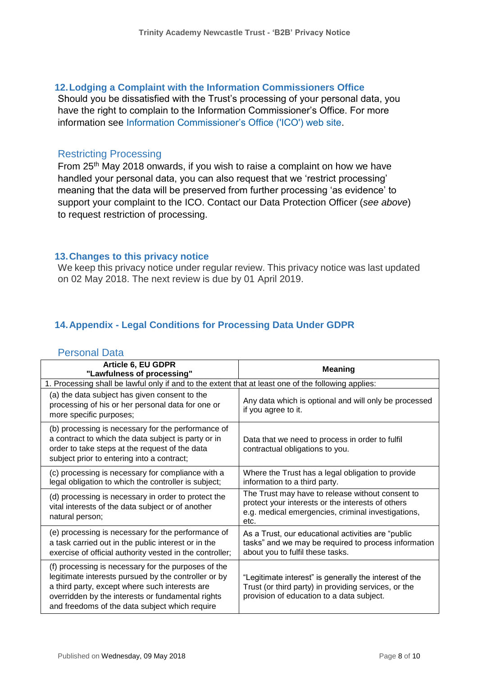## <span id="page-7-0"></span>**12.Lodging a Complaint with the Information Commissioners Office**

Should you be dissatisfied with the Trust's processing of your personal data, you have the right to complain to the Information Commissioner's Office. For more information see [Information Commissioner's Office \('ICO'\) web site.](http://www.ico.org.uk/)

#### <span id="page-7-1"></span>Restricting Processing

From 25th May 2018 onwards, if you wish to raise a complaint on how we have handled your personal data, you can also request that we 'restrict processing' meaning that the data will be preserved from further processing 'as evidence' to support your complaint to the ICO. Contact our Data Protection Officer (*see above*) to request restriction of processing.

#### <span id="page-7-2"></span>**13.Changes to this privacy notice**

We keep this privacy notice under regular review. This privacy notice was last updated on 02 May 2018. The next review is due by 01 April 2019.

## <span id="page-7-3"></span>**14.Appendix - Legal Conditions for Processing Data Under GDPR**

#### <span id="page-7-4"></span>Personal Data

| Article 6, EU GDPR<br>"Lawfulness of processing"                                                                                                                                                                                                                     | <b>Meaning</b>                                                                                                                                                      |  |
|----------------------------------------------------------------------------------------------------------------------------------------------------------------------------------------------------------------------------------------------------------------------|---------------------------------------------------------------------------------------------------------------------------------------------------------------------|--|
| 1. Processing shall be lawful only if and to the extent that at least one of the following applies:                                                                                                                                                                  |                                                                                                                                                                     |  |
| (a) the data subject has given consent to the<br>processing of his or her personal data for one or<br>more specific purposes;                                                                                                                                        | Any data which is optional and will only be processed<br>if you agree to it.                                                                                        |  |
| (b) processing is necessary for the performance of<br>a contract to which the data subject is party or in<br>order to take steps at the request of the data<br>subject prior to entering into a contract;                                                            | Data that we need to process in order to fulfil<br>contractual obligations to you.                                                                                  |  |
| (c) processing is necessary for compliance with a<br>legal obligation to which the controller is subject;                                                                                                                                                            | Where the Trust has a legal obligation to provide<br>information to a third party.                                                                                  |  |
| (d) processing is necessary in order to protect the<br>vital interests of the data subject or of another<br>natural person;                                                                                                                                          | The Trust may have to release without consent to<br>protect your interests or the interests of others<br>e.g. medical emergencies, criminal investigations,<br>etc. |  |
| (e) processing is necessary for the performance of<br>a task carried out in the public interest or in the<br>exercise of official authority vested in the controller;                                                                                                | As a Trust, our educational activities are "public<br>tasks" and we may be required to process information<br>about you to fulfil these tasks.                      |  |
| (f) processing is necessary for the purposes of the<br>legitimate interests pursued by the controller or by<br>a third party, except where such interests are<br>overridden by the interests or fundamental rights<br>and freedoms of the data subject which require | "Legitimate interest" is generally the interest of the<br>Trust (or third party) in providing services, or the<br>provision of education to a data subject.         |  |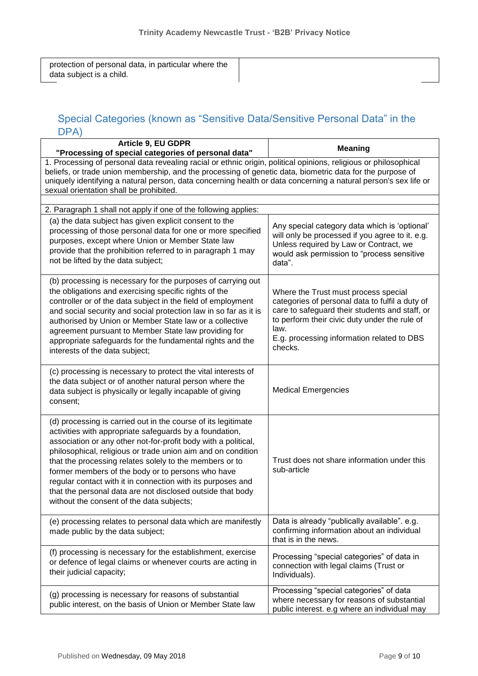protection of personal data, in particular where the data subject is a child.

# <span id="page-8-0"></span>Special Categories (known as "Sensitive Data/Sensitive Personal Data" in the DPA)

| Article 9, EU GDPR<br>"Processing of special categories of personal data"                                                                                                                                                                                                                                                                                                                                                                                                                                                                            | <b>Meaning</b>                                                                                                                                                                                                                                              |  |
|------------------------------------------------------------------------------------------------------------------------------------------------------------------------------------------------------------------------------------------------------------------------------------------------------------------------------------------------------------------------------------------------------------------------------------------------------------------------------------------------------------------------------------------------------|-------------------------------------------------------------------------------------------------------------------------------------------------------------------------------------------------------------------------------------------------------------|--|
| 1. Processing of personal data revealing racial or ethnic origin, political opinions, religious or philosophical<br>beliefs, or trade union membership, and the processing of genetic data, biometric data for the purpose of<br>uniquely identifying a natural person, data concerning health or data concerning a natural person's sex life or<br>sexual orientation shall be prohibited.                                                                                                                                                          |                                                                                                                                                                                                                                                             |  |
| 2. Paragraph 1 shall not apply if one of the following applies:                                                                                                                                                                                                                                                                                                                                                                                                                                                                                      |                                                                                                                                                                                                                                                             |  |
| (a) the data subject has given explicit consent to the<br>processing of those personal data for one or more specified<br>purposes, except where Union or Member State law<br>provide that the prohibition referred to in paragraph 1 may<br>not be lifted by the data subject;                                                                                                                                                                                                                                                                       | Any special category data which is 'optional'<br>will only be processed if you agree to it. e.g.<br>Unless required by Law or Contract, we<br>would ask permission to "process sensitive<br>data".                                                          |  |
| (b) processing is necessary for the purposes of carrying out<br>the obligations and exercising specific rights of the<br>controller or of the data subject in the field of employment<br>and social security and social protection law in so far as it is<br>authorised by Union or Member State law or a collective<br>agreement pursuant to Member State law providing for<br>appropriate safeguards for the fundamental rights and the<br>interests of the data subject;                                                                          | Where the Trust must process special<br>categories of personal data to fulfil a duty of<br>care to safeguard their students and staff, or<br>to perform their civic duty under the rule of<br>law.<br>E.g. processing information related to DBS<br>checks. |  |
| (c) processing is necessary to protect the vital interests of<br>the data subject or of another natural person where the<br>data subject is physically or legally incapable of giving<br>consent;                                                                                                                                                                                                                                                                                                                                                    | <b>Medical Emergencies</b>                                                                                                                                                                                                                                  |  |
| (d) processing is carried out in the course of its legitimate<br>activities with appropriate safeguards by a foundation,<br>association or any other not-for-profit body with a political,<br>philosophical, religious or trade union aim and on condition<br>that the processing relates solely to the members or to<br>former members of the body or to persons who have<br>regular contact with it in connection with its purposes and<br>that the personal data are not disclosed outside that body<br>without the consent of the data subjects; | Trust does not share information under this<br>sub-article                                                                                                                                                                                                  |  |
| (e) processing relates to personal data which are manifestly<br>made public by the data subject;                                                                                                                                                                                                                                                                                                                                                                                                                                                     | Data is already "publically available". e.g.<br>confirming information about an individual<br>that is in the news.                                                                                                                                          |  |
| (f) processing is necessary for the establishment, exercise<br>or defence of legal claims or whenever courts are acting in<br>their judicial capacity;                                                                                                                                                                                                                                                                                                                                                                                               | Processing "special categories" of data in<br>connection with legal claims (Trust or<br>Individuals).                                                                                                                                                       |  |
| (g) processing is necessary for reasons of substantial<br>public interest, on the basis of Union or Member State law                                                                                                                                                                                                                                                                                                                                                                                                                                 | Processing "special categories" of data<br>where necessary for reasons of substantial<br>public interest. e.g where an individual may                                                                                                                       |  |